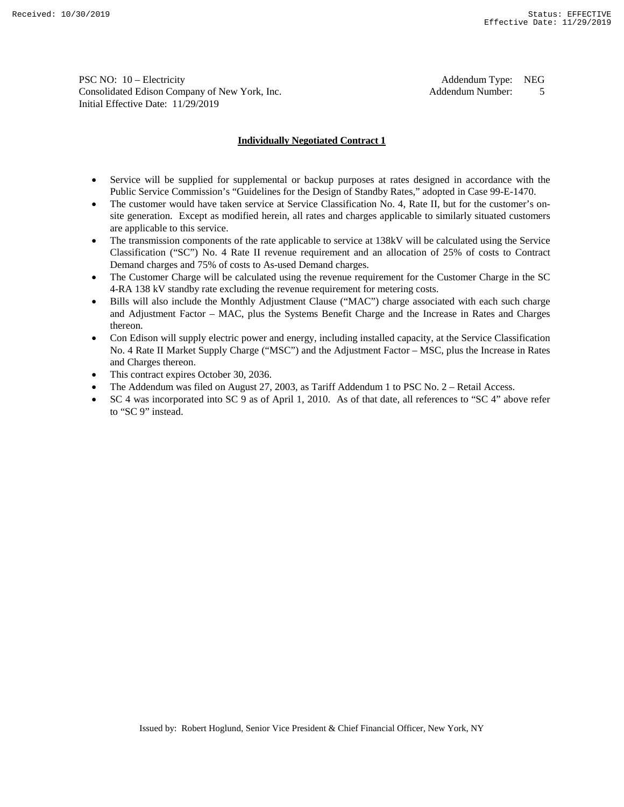PSC NO: 10 – Electricity and the state of the state of the Addendum Type: NEG Consolidated Edison Company of New York, Inc. The Consolidated Edison Company of New York, Inc. Addendum Number: 5 Initial Effective Date: 11/29/2019

## **Individually Negotiated Contract 1**

- Service will be supplied for supplemental or backup purposes at rates designed in accordance with the Public Service Commission's "Guidelines for the Design of Standby Rates," adopted in Case 99-E-1470.
- The customer would have taken service at Service Classification No. 4, Rate II, but for the customer's onsite generation. Except as modified herein, all rates and charges applicable to similarly situated customers are applicable to this service.
- The transmission components of the rate applicable to service at 138kV will be calculated using the Service Classification ("SC") No. 4 Rate II revenue requirement and an allocation of 25% of costs to Contract Demand charges and 75% of costs to As-used Demand charges.
- The Customer Charge will be calculated using the revenue requirement for the Customer Charge in the SC 4-RA 138 kV standby rate excluding the revenue requirement for metering costs.
- Bills will also include the Monthly Adjustment Clause ("MAC") charge associated with each such charge and Adjustment Factor – MAC, plus the Systems Benefit Charge and the Increase in Rates and Charges thereon.
- Con Edison will supply electric power and energy, including installed capacity, at the Service Classification No. 4 Rate II Market Supply Charge ("MSC") and the Adjustment Factor – MSC, plus the Increase in Rates and Charges thereon.
- This contract expires October 30, 2036.
- The Addendum was filed on August 27, 2003, as Tariff Addendum 1 to PSC No. 2 Retail Access.
- SC 4 was incorporated into SC 9 as of April 1, 2010. As of that date, all references to "SC 4" above refer to "SC 9" instead.